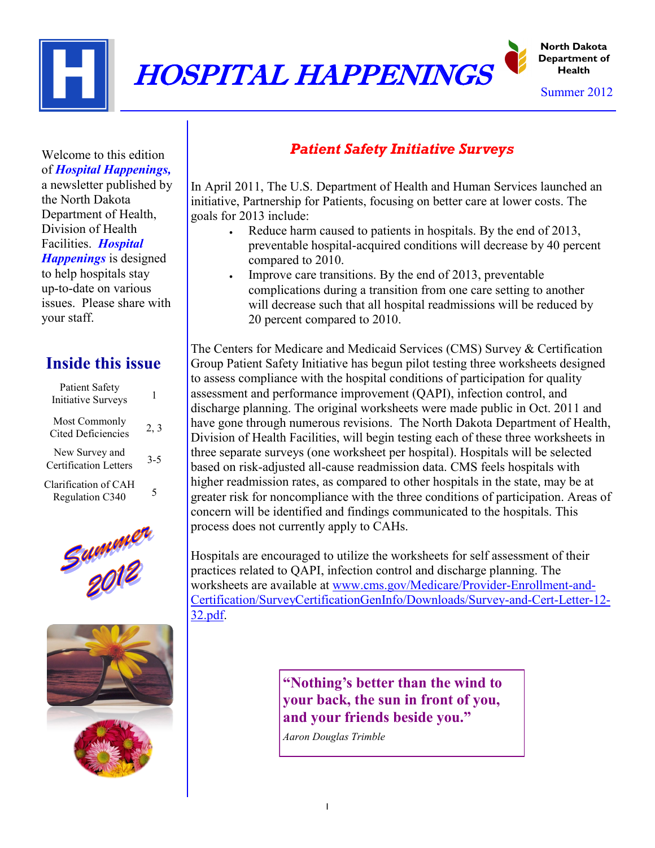

Summer 2012

Welcome to this edition of *Hospital Happenings,* a newsletter published by the North Dakota Department of Health, Division of Health Facilities. *Hospital Happenings* is designed

to help hospitals stay up-to-date on various issues. Please share with your staff.

## **Inside this issue**

| <b>Patient Safety</b><br><b>Initiative Surveys</b> |         |
|----------------------------------------------------|---------|
| Most Commonly<br><b>Cited Deficiencies</b>         | 2, 3    |
| New Survey and<br><b>Certification Letters</b>     | $3 - 5$ |
| Clarification of CAH<br>Regulation C340            | 5       |





### *Patient Safety Initiative Surveys*

In April 2011, The U.S. Department of Health and Human Services launched an initiative, Partnership for Patients, focusing on better care at lower costs. The goals for 2013 include:

- Reduce harm caused to patients in hospitals. By the end of 2013, preventable hospital-acquired conditions will decrease by 40 percent compared to 2010.
- Improve care transitions. By the end of 2013, preventable complications during a transition from one care setting to another will decrease such that all hospital readmissions will be reduced by 20 percent compared to 2010.

The Centers for Medicare and Medicaid Services (CMS) Survey & Certification Group Patient Safety Initiative has begun pilot testing three worksheets designed to assess compliance with the hospital conditions of participation for quality assessment and performance improvement (QAPI), infection control, and discharge planning. The original worksheets were made public in Oct. 2011 and have gone through numerous revisions. The North Dakota Department of Health, Division of Health Facilities, will begin testing each of these three worksheets in three separate surveys (one worksheet per hospital). Hospitals will be selected based on risk-adjusted all-cause readmission data. CMS feels hospitals with higher readmission rates, as compared to other hospitals in the state, may be at greater risk for noncompliance with the three conditions of participation. Areas of concern will be identified and findings communicated to the hospitals. This process does not currently apply to CAHs.

Hospitals are encouraged to utilize the worksheets for self assessment of their practices related to QAPI, infection control and discharge planning. The worksheets are available at [www.cms.gov/Medicare/Provider-Enrollment-and-](http://www.cms.gov/Medicare/Provider-Enrollment-and-Certification/SurveyCertificationGenInfo/Downloads/Survey-and-Cert-Letter-12-32.pdf)[Certification/SurveyCertificationGenInfo/Downloads/Survey-and-Cert-Letter-12-](http://www.cms.gov/Medicare/Provider-Enrollment-and-Certification/SurveyCertificationGenInfo/Downloads/Survey-and-Cert-Letter-12-32.pdf) [32.pdf.](http://www.cms.gov/Medicare/Provider-Enrollment-and-Certification/SurveyCertificationGenInfo/Downloads/Survey-and-Cert-Letter-12-32.pdf)

> **"Nothing's better than the wind to your back, the sun in front of you, and your friends beside you."**

*Aaron Douglas Trimble*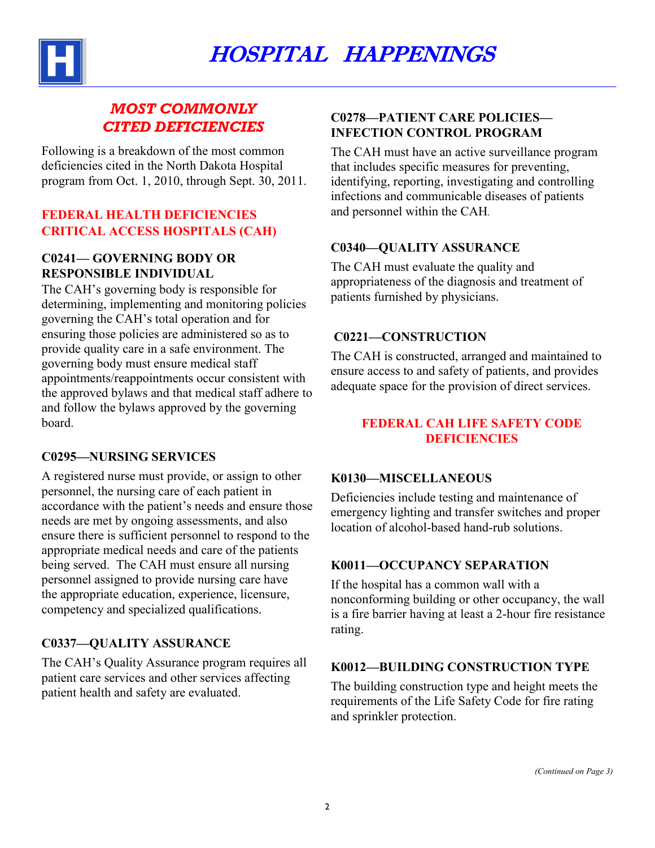

#### *MOST COMMONLY CITED DEFICIENCIES*

Following is a breakdown of the most common deficiencies cited in the North Dakota Hospital program from Oct. 1, 2010, through Sept. 30, 2011.

#### **FEDERAL HEALTH DEFICIENCIES CRITICAL ACCESS HOSPITALS (CAH)**

#### **C0241— GOVERNING BODY OR RESPONSIBLE INDIVIDUAL**

The CAH's governing body is responsible for determining, implementing and monitoring policies governing the CAH's total operation and for ensuring those policies are administered so as to provide quality care in a safe environment. The governing body must ensure medical staff appointments/reappointments occur consistent with the approved bylaws and that medical staff adhere to and follow the bylaws approved by the governing board.

#### **C0295—NURSING SERVICES**

A registered nurse must provide, or assign to other personnel, the nursing care of each patient in accordance with the patient's needs and ensure those needs are met by ongoing assessments, and also ensure there is sufficient personnel to respond to the appropriate medical needs and care of the patients being served. The CAH must ensure all nursing personnel assigned to provide nursing care have the appropriate education, experience, licensure, competency and specialized qualifications.

#### **C0337—QUALITY ASSURANCE**

The CAH's Quality Assurance program requires all patient care services and other services affecting patient health and safety are evaluated.

#### **C0278—PATIENT CARE POLICIES— INFECTION CONTROL PROGRAM**

The CAH must have an active surveillance program that includes specific measures for preventing, identifying, reporting, investigating and controlling infections and communicable diseases of patients and personnel within the CAH.

#### **C0340—QUALITY ASSURANCE**

The CAH must evaluate the quality and appropriateness of the diagnosis and treatment of patients furnished by physicians.

#### **C0221—CONSTRUCTION**

The CAH is constructed, arranged and maintained to ensure access to and safety of patients, and provides adequate space for the provision of direct services.

#### **FEDERAL CAH LIFE SAFETY CODE DEFICIENCIES**

#### **K0130—MISCELLANEOUS**

Deficiencies include testing and maintenance of emergency lighting and transfer switches and proper location of alcohol-based hand-rub solutions.

#### **K0011—OCCUPANCY SEPARATION**

If the hospital has a common wall with a nonconforming building or other occupancy, the wall is a fire barrier having at least a 2-hour fire resistance rating.

#### **K0012—BUILDING CONSTRUCTION TYPE**

The building construction type and height meets the requirements of the Life Safety Code for fire rating and sprinkler protection.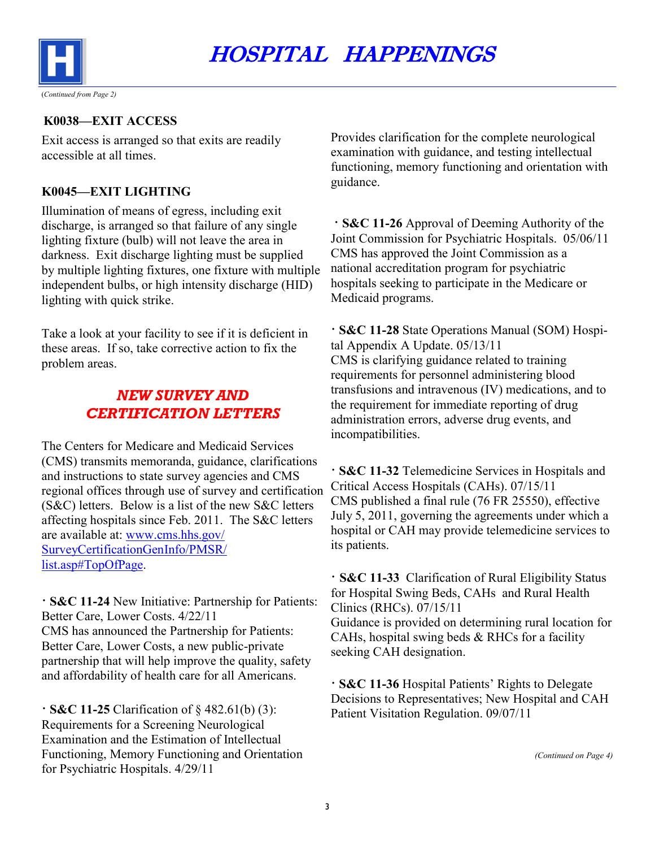

#### **K0038—EXIT ACCESS**

Exit access is arranged so that exits are readily accessible at all times.

#### **K0045—EXIT LIGHTING**

Illumination of means of egress, including exit discharge, is arranged so that failure of any single lighting fixture (bulb) will not leave the area in darkness. Exit discharge lighting must be supplied by multiple lighting fixtures, one fixture with multiple independent bulbs, or high intensity discharge (HID) lighting with quick strike.

Take a look at your facility to see if it is deficient in these areas. If so, take corrective action to fix the problem areas.

#### *NEW SURVEY AND CERTIFICATION LETTERS*

The Centers for Medicare and Medicaid Services (CMS) transmits memoranda, guidance, clarifications and instructions to state survey agencies and CMS regional offices through use of survey and certification (S&C) letters. Below is a list of the new S&C letters affecting hospitals since Feb. 2011. The S&C letters are available at: [www.cms.hhs.gov/](http://www.cms.hhs.gov/SurveyCertificationGenInfo/PMSR/list.asp#TopOfPage) [SurveyCertificationGenInfo/PMSR/](http://www.cms.hhs.gov/SurveyCertificationGenInfo/PMSR/list.asp#TopOfPage) [list.asp#TopOfPage.](http://www.cms.hhs.gov/SurveyCertificationGenInfo/PMSR/list.asp#TopOfPage)

**· S&C 11-24** New Initiative: Partnership for Patients: Better Care, Lower Costs. 4/22/11 CMS has announced the Partnership for Patients: Better Care, Lower Costs, a new public-private partnership that will help improve the quality, safety and affordability of health care for all Americans.

**· S&C 11-25** Clarification of § 482.61(b) (3): Requirements for a Screening Neurological Examination and the Estimation of Intellectual Functioning, Memory Functioning and Orientation for Psychiatric Hospitals. 4/29/11

Provides clarification for the complete neurological examination with guidance, and testing intellectual functioning, memory functioning and orientation with guidance.

**· S&C 11-26** Approval of Deeming Authority of the Joint Commission for Psychiatric Hospitals. 05/06/11 CMS has approved the Joint Commission as a national accreditation program for psychiatric hospitals seeking to participate in the Medicare or Medicaid programs.

**· S&C 11-28** State Operations Manual (SOM) Hospital Appendix A Update. 05/13/11 CMS is clarifying guidance related to training requirements for personnel administering blood transfusions and intravenous (IV) medications, and to the requirement for immediate reporting of drug administration errors, adverse drug events, and incompatibilities.

**· S&C 11-32** Telemedicine Services in Hospitals and Critical Access Hospitals (CAHs). 07/15/11 CMS published a final rule (76 FR 25550), effective July 5, 2011, governing the agreements under which a hospital or CAH may provide telemedicine services to its patients.

**· S&C 11-33** Clarification of Rural Eligibility Status for Hospital Swing Beds, CAHs and Rural Health Clinics (RHCs). 07/15/11 Guidance is provided on determining rural location for CAHs, hospital swing beds & RHCs for a facility seeking CAH designation.

**· S&C 11-36** Hospital Patients' Rights to Delegate Decisions to Representatives; New Hospital and CAH Patient Visitation Regulation. 09/07/11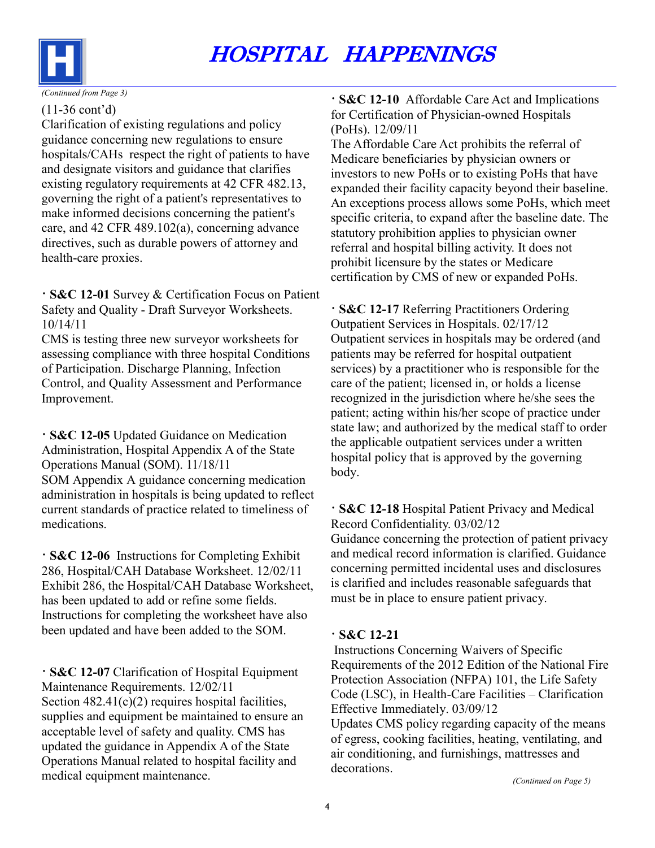

#### (11-36 cont'd)

Clarification of existing regulations and policy guidance concerning new regulations to ensure hospitals/CAHs respect the right of patients to have and designate visitors and guidance that clarifies existing regulatory requirements at 42 CFR 482.13, governing the right of a patient's representatives to make informed decisions concerning the patient's care, and 42 CFR 489.102(a), concerning advance directives, such as durable powers of attorney and health-care proxies.

**· S&C 12-01** Survey & Certification Focus on Patient Safety and Quality - Draft Surveyor Worksheets. 10/14/11

CMS is testing three new surveyor worksheets for assessing compliance with three hospital Conditions of Participation. Discharge Planning, Infection Control, and Quality Assessment and Performance Improvement.

**· S&C 12-05** Updated Guidance on Medication Administration, Hospital Appendix A of the State Operations Manual (SOM). 11/18/11 SOM Appendix A guidance concerning medication administration in hospitals is being updated to reflect current standards of practice related to timeliness of medications.

**· S&C 12-06** Instructions for Completing Exhibit 286, Hospital/CAH Database Worksheet. 12/02/11 Exhibit 286, the Hospital/CAH Database Worksheet, has been updated to add or refine some fields. Instructions for completing the worksheet have also been updated and have been added to the SOM.

**· S&C 12-07** Clarification of Hospital Equipment Maintenance Requirements. 12/02/11 Section  $482.41(c)(2)$  requires hospital facilities, supplies and equipment be maintained to ensure an acceptable level of safety and quality. CMS has updated the guidance in Appendix A of the State Operations Manual related to hospital facility and medical equipment maintenance.

**· S&C 12-10** Affordable Care Act and Implications for Certification of Physician-owned Hospitals (PoHs). 12/09/11

The Affordable Care Act prohibits the referral of Medicare beneficiaries by physician owners or investors to new PoHs or to existing PoHs that have expanded their facility capacity beyond their baseline. An exceptions process allows some PoHs, which meet specific criteria, to expand after the baseline date. The statutory prohibition applies to physician owner referral and hospital billing activity. It does not prohibit licensure by the states or Medicare certification by CMS of new or expanded PoHs.

**· S&C 12-17** Referring Practitioners Ordering Outpatient Services in Hospitals. 02/17/12 Outpatient services in hospitals may be ordered (and patients may be referred for hospital outpatient services) by a practitioner who is responsible for the care of the patient; licensed in, or holds a license recognized in the jurisdiction where he/she sees the patient; acting within his/her scope of practice under state law; and authorized by the medical staff to order the applicable outpatient services under a written hospital policy that is approved by the governing body.

**· S&C 12-18** Hospital Patient Privacy and Medical Record Confidentiality. 03/02/12 Guidance concerning the protection of patient privacy and medical record information is clarified. Guidance concerning permitted incidental uses and disclosures is clarified and includes reasonable safeguards that must be in place to ensure patient privacy.

#### **· S&C 12-21**

Instructions Concerning Waivers of Specific Requirements of the 2012 Edition of the National Fire Protection Association (NFPA) 101, the Life Safety Code (LSC), in Health-Care Facilities – Clarification Effective Immediately. 03/09/12 Updates CMS policy regarding capacity of the means

of egress, cooking facilities, heating, ventilating, and air conditioning, and furnishings, mattresses and decorations.